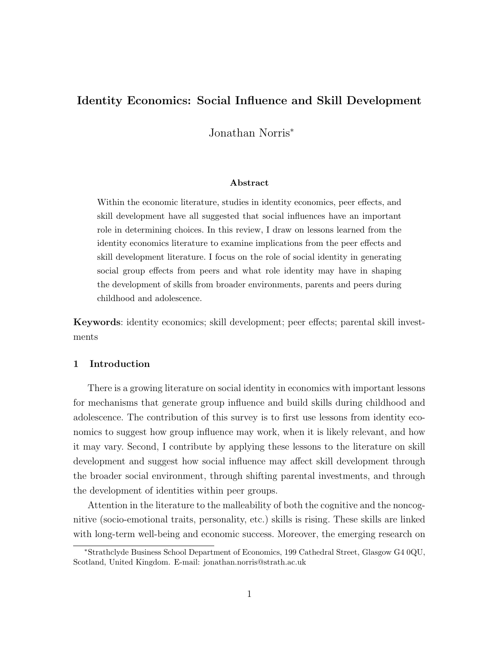# Identity Economics: Social Influence and Skill Development

Jonathan Norris<sup>∗</sup>

### Abstract

Within the economic literature, studies in identity economics, peer effects, and skill development have all suggested that social influences have an important role in determining choices. In this review, I draw on lessons learned from the identity economics literature to examine implications from the peer effects and skill development literature. I focus on the role of social identity in generating social group effects from peers and what role identity may have in shaping the development of skills from broader environments, parents and peers during childhood and adolescence.

Keywords: identity economics; skill development; peer effects; parental skill investments

# 1 Introduction

There is a growing literature on social identity in economics with important lessons for mechanisms that generate group influence and build skills during childhood and adolescence. The contribution of this survey is to first use lessons from identity economics to suggest how group influence may work, when it is likely relevant, and how it may vary. Second, I contribute by applying these lessons to the literature on skill development and suggest how social influence may affect skill development through the broader social environment, through shifting parental investments, and through the development of identities within peer groups.

Attention in the literature to the malleability of both the cognitive and the noncognitive (socio-emotional traits, personality, etc.) skills is rising. These skills are linked with long-term well-being and economic success. Moreover, the emerging research on

<sup>∗</sup>Strathclyde Business School Department of Economics, 199 Cathedral Street, Glasgow G4 0QU, Scotland, United Kingdom. E-mail: jonathan.norris@strath.ac.uk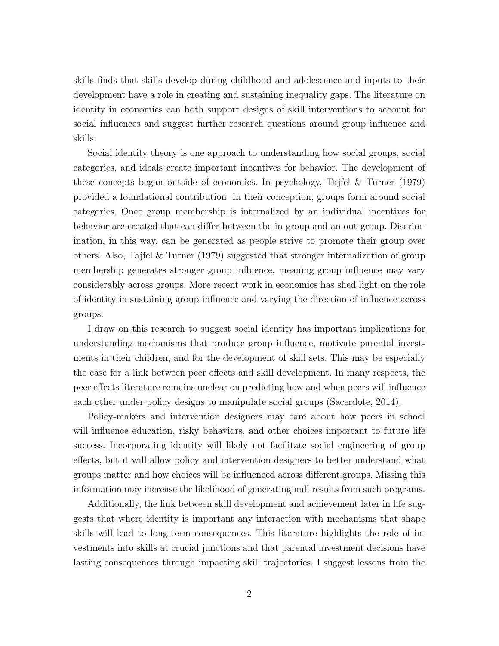skills finds that skills develop during childhood and adolescence and inputs to their development have a role in creating and sustaining inequality gaps. The literature on identity in economics can both support designs of skill interventions to account for social influences and suggest further research questions around group influence and skills.

Social identity theory is one approach to understanding how social groups, social categories, and ideals create important incentives for behavior. The development of these concepts began outside of economics. In psychology, [Tajfel & Turner](#page-33-0) [\(1979\)](#page-33-0) provided a foundational contribution. In their conception, groups form around social categories. Once group membership is internalized by an individual incentives for behavior are created that can differ between the in-group and an out-group. Discrimination, in this way, can be generated as people strive to promote their group over others. Also, [Tajfel & Turner](#page-33-0) [\(1979\)](#page-33-0) suggested that stronger internalization of group membership generates stronger group influence, meaning group influence may vary considerably across groups. More recent work in economics has shed light on the role of identity in sustaining group influence and varying the direction of influence across groups.

I draw on this research to suggest social identity has important implications for understanding mechanisms that produce group influence, motivate parental investments in their children, and for the development of skill sets. This may be especially the case for a link between peer effects and skill development. In many respects, the peer effects literature remains unclear on predicting how and when peers will influence each other under policy designs to manipulate social groups [\(Sacerdote, 2014\)](#page-33-1).

Policy-makers and intervention designers may care about how peers in school will influence education, risky behaviors, and other choices important to future life success. Incorporating identity will likely not facilitate social engineering of group effects, but it will allow policy and intervention designers to better understand what groups matter and how choices will be influenced across different groups. Missing this information may increase the likelihood of generating null results from such programs.

Additionally, the link between skill development and achievement later in life suggests that where identity is important any interaction with mechanisms that shape skills will lead to long-term consequences. This literature highlights the role of investments into skills at crucial junctions and that parental investment decisions have lasting consequences through impacting skill trajectories. I suggest lessons from the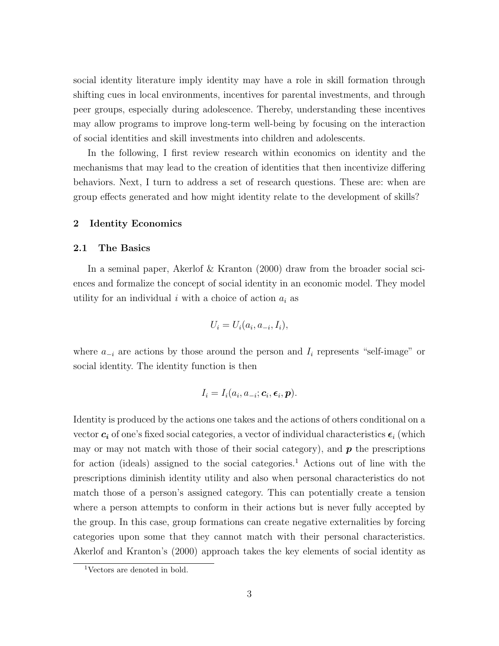social identity literature imply identity may have a role in skill formation through shifting cues in local environments, incentives for parental investments, and through peer groups, especially during adolescence. Thereby, understanding these incentives may allow programs to improve long-term well-being by focusing on the interaction of social identities and skill investments into children and adolescents.

In the following, I first review research within economics on identity and the mechanisms that may lead to the creation of identities that then incentivize differing behaviors. Next, I turn to address a set of research questions. These are: when are group effects generated and how might identity relate to the development of skills?

### 2 Identity Economics

### 2.1 The Basics

In a seminal paper, [Akerlof & Kranton](#page-28-0) [\(2000\)](#page-28-0) draw from the broader social sciences and formalize the concept of social identity in an economic model. They model utility for an individual i with a choice of action  $a_i$  as

$$
U_i = U_i(a_i, a_{-i}, I_i),
$$

where  $a_{-i}$  are actions by those around the person and  $I_i$  represents "self-image" or social identity. The identity function is then

$$
I_i = I_i(a_i, a_{-i}; \mathbf{c}_i, \mathbf{\epsilon}_i, \mathbf{p}).
$$

Identity is produced by the actions one takes and the actions of others conditional on a vector  $c_i$  of one's fixed social categories, a vector of individual characteristics  $\epsilon_i$  (which may or may not match with those of their social category), and  $p$  the prescriptions for action (ideals) assigned to the social categories.<sup>[1](#page-2-0)</sup> Actions out of line with the prescriptions diminish identity utility and also when personal characteristics do not match those of a person's assigned category. This can potentially create a tension where a person attempts to conform in their actions but is never fully accepted by the group. In this case, group formations can create negative externalities by forcing categories upon some that they cannot match with their personal characteristics. Akerlof and Kranton's (2000) approach takes the key elements of social identity as

<span id="page-2-0"></span><sup>&</sup>lt;sup>1</sup>Vectors are denoted in bold.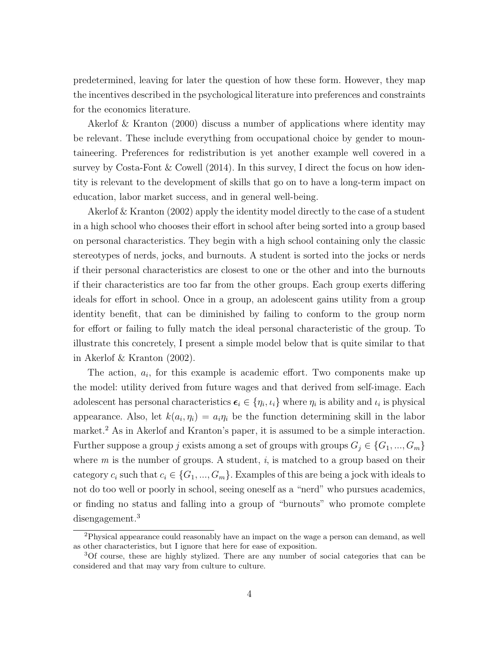predetermined, leaving for later the question of how these form. However, they map the incentives described in the psychological literature into preferences and constraints for the economics literature.

[Akerlof & Kranton](#page-28-0) [\(2000\)](#page-28-0) discuss a number of applications where identity may be relevant. These include everything from occupational choice by gender to mountaineering. Preferences for redistribution is yet another example well covered in a survey by [Costa-Font & Cowell](#page-30-0) [\(2014\)](#page-30-0). In this survey, I direct the focus on how identity is relevant to the development of skills that go on to have a long-term impact on education, labor market success, and in general well-being.

[Akerlof & Kranton](#page-28-1) [\(2002\)](#page-28-1) apply the identity model directly to the case of a student in a high school who chooses their effort in school after being sorted into a group based on personal characteristics. They begin with a high school containing only the classic stereotypes of nerds, jocks, and burnouts. A student is sorted into the jocks or nerds if their personal characteristics are closest to one or the other and into the burnouts if their characteristics are too far from the other groups. Each group exerts differing ideals for effort in school. Once in a group, an adolescent gains utility from a group identity benefit, that can be diminished by failing to conform to the group norm for effort or failing to fully match the ideal personal characteristic of the group. To illustrate this concretely, I present a simple model below that is quite similar to that in [Akerlof & Kranton](#page-28-1) [\(2002\)](#page-28-1).

The action,  $a_i$ , for this example is academic effort. Two components make up the model: utility derived from future wages and that derived from self-image. Each adolescent has personal characteristics  $\epsilon_i \in \{\eta_i, \iota_i\}$  where  $\eta_i$  is ability and  $\iota_i$  is physical appearance. Also, let  $k(a_i, \eta_i) = a_i \eta_i$  be the function determining skill in the labor market.[2](#page-3-0) As in Akerlof and Kranton's paper, it is assumed to be a simple interaction. Further suppose a group j exists among a set of groups with groups  $G_j \in \{G_1, ..., G_m\}$ where  $m$  is the number of groups. A student,  $i$ , is matched to a group based on their category  $c_i$  such that  $c_i \in \{G_1, ..., G_m\}$ . Examples of this are being a jock with ideals to not do too well or poorly in school, seeing oneself as a "nerd" who pursues academics, or finding no status and falling into a group of "burnouts" who promote complete disengagement.<sup>[3](#page-3-1)</sup>

<span id="page-3-0"></span><sup>2</sup>Physical appearance could reasonably have an impact on the wage a person can demand, as well as other characteristics, but I ignore that here for ease of exposition.

<span id="page-3-1"></span><sup>3</sup>Of course, these are highly stylized. There are any number of social categories that can be considered and that may vary from culture to culture.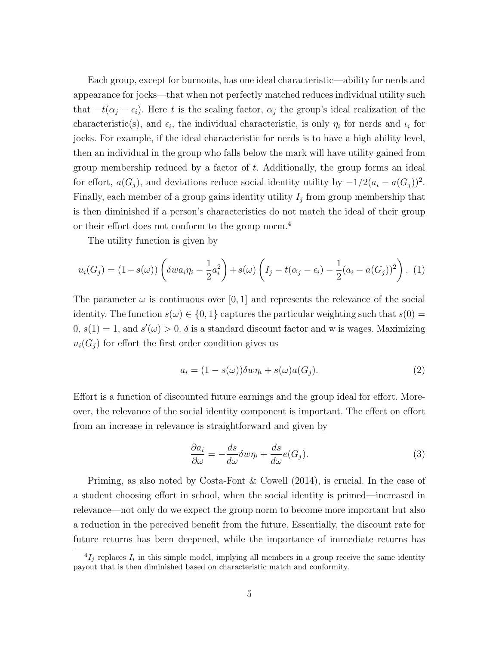Each group, except for burnouts, has one ideal characteristic—ability for nerds and appearance for jocks—that when not perfectly matched reduces individual utility such that  $-t(\alpha_j - \epsilon_i)$ . Here t is the scaling factor,  $\alpha_j$  the group's ideal realization of the characteristic(s), and  $\epsilon_i$ , the individual characteristic, is only  $\eta_i$  for nerds and  $\iota_i$  for jocks. For example, if the ideal characteristic for nerds is to have a high ability level, then an individual in the group who falls below the mark will have utility gained from group membership reduced by a factor of  $t$ . Additionally, the group forms an ideal for effort,  $a(G_j)$ , and deviations reduce social identity utility by  $-1/2(a_i - a(G_j))^2$ . Finally, each member of a group gains identity utility  $I_j$  from group membership that is then diminished if a person's characteristics do not match the ideal of their group or their effort does not conform to the group norm.<sup>[4](#page-4-0)</sup>

The utility function is given by

<span id="page-4-2"></span>
$$
u_i(G_j) = (1 - s(\omega)) \left( \delta w a_i \eta_i - \frac{1}{2} a_i^2 \right) + s(\omega) \left( I_j - t(\alpha_j - \epsilon_i) - \frac{1}{2} (a_i - a(G_j))^2 \right). \tag{1}
$$

The parameter  $\omega$  is continuous over [0, 1] and represents the relevance of the social identity. The function  $s(\omega) \in \{0,1\}$  captures the particular weighting such that  $s(0) =$  $0, s(1) = 1$ , and  $s'(\omega) > 0$ .  $\delta$  is a standard discount factor and w is wages. Maximizing  $u_i(G_i)$  for effort the first order condition gives us

<span id="page-4-3"></span>
$$
a_i = (1 - s(\omega))\delta w \eta_i + s(\omega)a(G_j). \tag{2}
$$

Effort is a function of discounted future earnings and the group ideal for effort. Moreover, the relevance of the social identity component is important. The effect on effort from an increase in relevance is straightforward and given by

<span id="page-4-1"></span>
$$
\frac{\partial a_i}{\partial \omega} = -\frac{ds}{d\omega} \delta w \eta_i + \frac{ds}{d\omega} e(G_j). \tag{3}
$$

Priming, as also noted by [Costa-Font & Cowell](#page-30-0) [\(2014\)](#page-30-0), is crucial. In the case of a student choosing effort in school, when the social identity is primed—increased in relevance—not only do we expect the group norm to become more important but also a reduction in the perceived benefit from the future. Essentially, the discount rate for future returns has been deepened, while the importance of immediate returns has

<span id="page-4-0"></span> ${}^{4}I_{j}$  replaces  $I_{i}$  in this simple model, implying all members in a group receive the same identity payout that is then diminished based on characteristic match and conformity.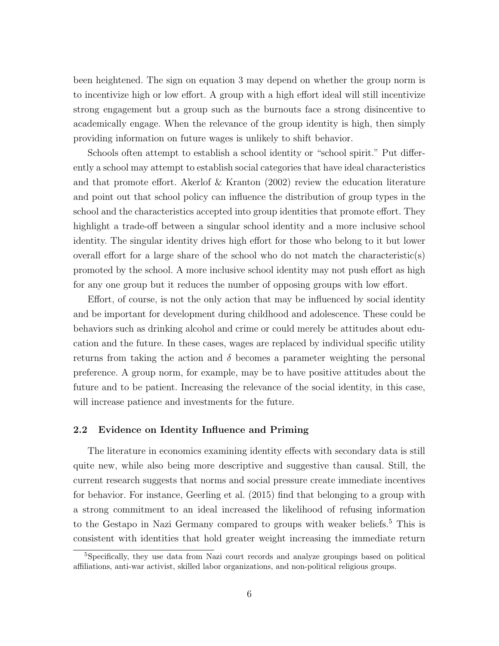been heightened. The sign on equation [3](#page-4-1) may depend on whether the group norm is to incentivize high or low effort. A group with a high effort ideal will still incentivize strong engagement but a group such as the burnouts face a strong disincentive to academically engage. When the relevance of the group identity is high, then simply providing information on future wages is unlikely to shift behavior.

Schools often attempt to establish a school identity or "school spirit." Put differently a school may attempt to establish social categories that have ideal characteristics and that promote effort. [Akerlof & Kranton](#page-28-1) [\(2002\)](#page-28-1) review the education literature and point out that school policy can influence the distribution of group types in the school and the characteristics accepted into group identities that promote effort. They highlight a trade-off between a singular school identity and a more inclusive school identity. The singular identity drives high effort for those who belong to it but lower overall effort for a large share of the school who do not match the characteristic(s) promoted by the school. A more inclusive school identity may not push effort as high for any one group but it reduces the number of opposing groups with low effort.

Effort, of course, is not the only action that may be influenced by social identity and be important for development during childhood and adolescence. These could be behaviors such as drinking alcohol and crime or could merely be attitudes about education and the future. In these cases, wages are replaced by individual specific utility returns from taking the action and  $\delta$  becomes a parameter weighting the personal preference. A group norm, for example, may be to have positive attitudes about the future and to be patient. Increasing the relevance of the social identity, in this case, will increase patience and investments for the future.

### <span id="page-5-1"></span>2.2 Evidence on Identity Influence and Priming

The literature in economics examining identity effects with secondary data is still quite new, while also being more descriptive and suggestive than causal. Still, the current research suggests that norms and social pressure create immediate incentives for behavior. For instance, [Geerling et al.](#page-30-1) [\(2015\)](#page-30-1) find that belonging to a group with a strong commitment to an ideal increased the likelihood of refusing information to the Gestapo in Nazi Germany compared to groups with weaker beliefs.<sup>[5](#page-5-0)</sup> This is consistent with identities that hold greater weight increasing the immediate return

<span id="page-5-0"></span><sup>5</sup>Specifically, they use data from Nazi court records and analyze groupings based on political affiliations, anti-war activist, skilled labor organizations, and non-political religious groups.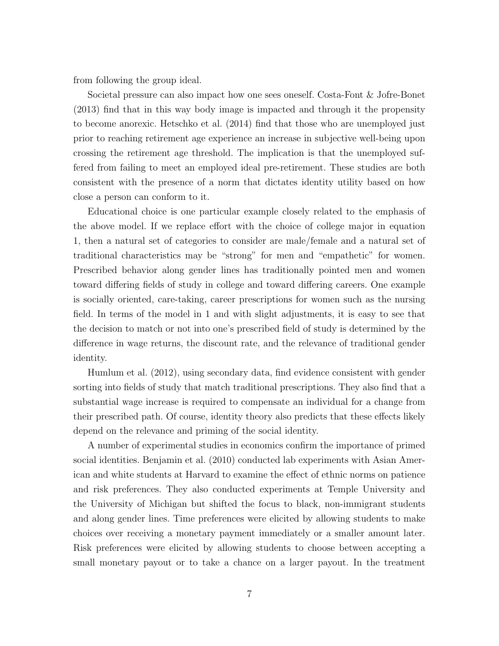from following the group ideal.

Societal pressure can also impact how one sees oneself. [Costa-Font & Jofre-Bonet](#page-30-2) [\(2013\)](#page-30-2) find that in this way body image is impacted and through it the propensity to become anorexic. [Hetschko et al.](#page-31-0) [\(2014\)](#page-31-0) find that those who are unemployed just prior to reaching retirement age experience an increase in subjective well-being upon crossing the retirement age threshold. The implication is that the unemployed suffered from failing to meet an employed ideal pre-retirement. These studies are both consistent with the presence of a norm that dictates identity utility based on how close a person can conform to it.

Educational choice is one particular example closely related to the emphasis of the above model. If we replace effort with the choice of college major in equation [1,](#page-4-2) then a natural set of categories to consider are male/female and a natural set of traditional characteristics may be "strong" for men and "empathetic" for women. Prescribed behavior along gender lines has traditionally pointed men and women toward differing fields of study in college and toward differing careers. One example is socially oriented, care-taking, career prescriptions for women such as the nursing field. In terms of the model in [1](#page-4-2) and with slight adjustments, it is easy to see that the decision to match or not into one's prescribed field of study is determined by the difference in wage returns, the discount rate, and the relevance of traditional gender identity.

[Humlum et al.](#page-32-0) [\(2012\)](#page-32-0), using secondary data, find evidence consistent with gender sorting into fields of study that match traditional prescriptions. They also find that a substantial wage increase is required to compensate an individual for a change from their prescribed path. Of course, identity theory also predicts that these effects likely depend on the relevance and priming of the social identity.

A number of experimental studies in economics confirm the importance of primed social identities. [Benjamin et al.](#page-29-0) [\(2010\)](#page-29-0) conducted lab experiments with Asian American and white students at Harvard to examine the effect of ethnic norms on patience and risk preferences. They also conducted experiments at Temple University and the University of Michigan but shifted the focus to black, non-immigrant students and along gender lines. Time preferences were elicited by allowing students to make choices over receiving a monetary payment immediately or a smaller amount later. Risk preferences were elicited by allowing students to choose between accepting a small monetary payout or to take a chance on a larger payout. In the treatment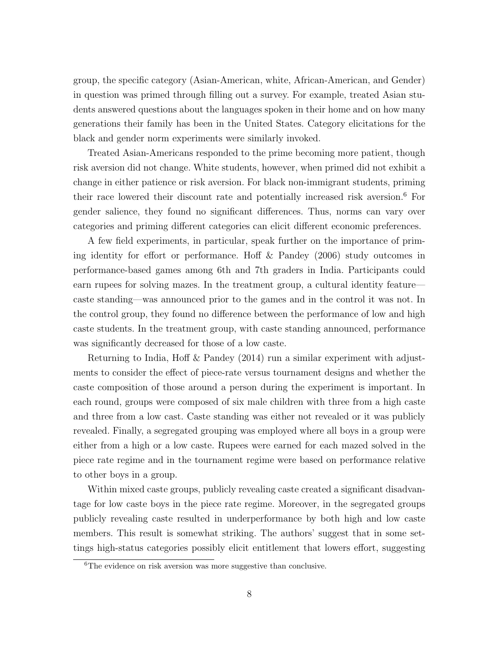group, the specific category (Asian-American, white, African-American, and Gender) in question was primed through filling out a survey. For example, treated Asian students answered questions about the languages spoken in their home and on how many generations their family has been in the United States. Category elicitations for the black and gender norm experiments were similarly invoked.

Treated Asian-Americans responded to the prime becoming more patient, though risk aversion did not change. White students, however, when primed did not exhibit a change in either patience or risk aversion. For black non-immigrant students, priming their race lowered their discount rate and potentially increased risk aversion.[6](#page-7-0) For gender salience, they found no significant differences. Thus, norms can vary over categories and priming different categories can elicit different economic preferences.

A few field experiments, in particular, speak further on the importance of priming identity for effort or performance. [Hoff & Pandey](#page-31-1) [\(2006\)](#page-31-1) study outcomes in performance-based games among 6th and 7th graders in India. Participants could earn rupees for solving mazes. In the treatment group, a cultural identity feature caste standing—was announced prior to the games and in the control it was not. In the control group, they found no difference between the performance of low and high caste students. In the treatment group, with caste standing announced, performance was significantly decreased for those of a low caste.

Returning to India, [Hoff & Pandey](#page-32-1) [\(2014\)](#page-32-1) run a similar experiment with adjustments to consider the effect of piece-rate versus tournament designs and whether the caste composition of those around a person during the experiment is important. In each round, groups were composed of six male children with three from a high caste and three from a low cast. Caste standing was either not revealed or it was publicly revealed. Finally, a segregated grouping was employed where all boys in a group were either from a high or a low caste. Rupees were earned for each mazed solved in the piece rate regime and in the tournament regime were based on performance relative to other boys in a group.

Within mixed caste groups, publicly revealing caste created a significant disadvantage for low caste boys in the piece rate regime. Moreover, in the segregated groups publicly revealing caste resulted in underperformance by both high and low caste members. This result is somewhat striking. The authors' suggest that in some settings high-status categories possibly elicit entitlement that lowers effort, suggesting

<span id="page-7-0"></span> ${}^{6}$ The evidence on risk aversion was more suggestive than conclusive.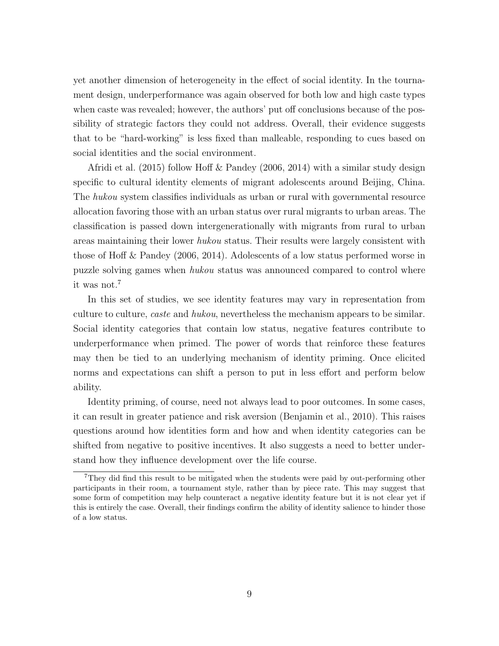yet another dimension of heterogeneity in the effect of social identity. In the tournament design, underperformance was again observed for both low and high caste types when caste was revealed; however, the authors' put off conclusions because of the possibility of strategic factors they could not address. Overall, their evidence suggests that to be "hard-working" is less fixed than malleable, responding to cues based on social identities and the social environment.

[Afridi et al.](#page-28-2)  $(2015)$  follow [Hoff & Pandey](#page-31-1)  $(2006, 2014)$  $(2006, 2014)$  with a similar study design specific to cultural identity elements of migrant adolescents around Beijing, China. The hukou system classifies individuals as urban or rural with governmental resource allocation favoring those with an urban status over rural migrants to urban areas. The classification is passed down intergenerationally with migrants from rural to urban areas maintaining their lower hukou status. Their results were largely consistent with those of [Hoff & Pandey](#page-31-1) [\(2006,](#page-31-1) [2014\)](#page-32-1). Adolescents of a low status performed worse in puzzle solving games when *hukou* status was announced compared to control where it was not.[7](#page-8-0)

In this set of studies, we see identity features may vary in representation from culture to culture, caste and hukou, nevertheless the mechanism appears to be similar. Social identity categories that contain low status, negative features contribute to underperformance when primed. The power of words that reinforce these features may then be tied to an underlying mechanism of identity priming. Once elicited norms and expectations can shift a person to put in less effort and perform below ability.

Identity priming, of course, need not always lead to poor outcomes. In some cases, it can result in greater patience and risk aversion [\(Benjamin et al., 2010\)](#page-29-0). This raises questions around how identities form and how and when identity categories can be shifted from negative to positive incentives. It also suggests a need to better understand how they influence development over the life course.

<span id="page-8-0"></span><sup>&</sup>lt;sup>7</sup>They did find this result to be mitigated when the students were paid by out-performing other participants in their room, a tournament style, rather than by piece rate. This may suggest that some form of competition may help counteract a negative identity feature but it is not clear yet if this is entirely the case. Overall, their findings confirm the ability of identity salience to hinder those of a low status.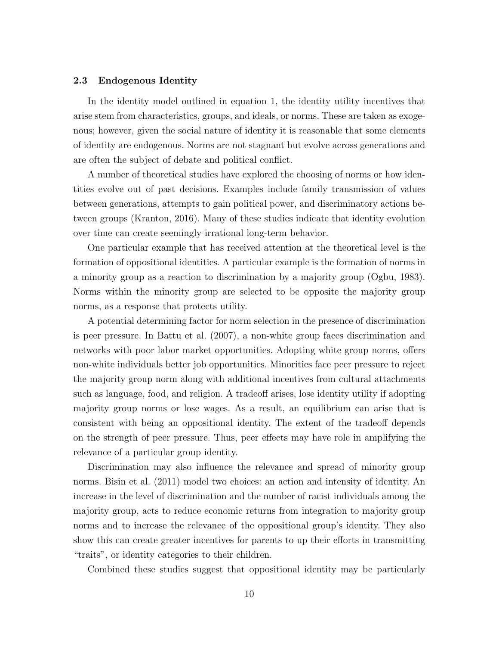### <span id="page-9-0"></span>2.3 Endogenous Identity

In the identity model outlined in equation [1,](#page-4-2) the identity utility incentives that arise stem from characteristics, groups, and ideals, or norms. These are taken as exogenous; however, given the social nature of identity it is reasonable that some elements of identity are endogenous. Norms are not stagnant but evolve across generations and are often the subject of debate and political conflict.

A number of theoretical studies have explored the choosing of norms or how identities evolve out of past decisions. Examples include family transmission of values between generations, attempts to gain political power, and discriminatory actions between groups [\(Kranton, 2016\)](#page-32-2). Many of these studies indicate that identity evolution over time can create seemingly irrational long-term behavior.

One particular example that has received attention at the theoretical level is the formation of oppositional identities. A particular example is the formation of norms in a minority group as a reaction to discrimination by a majority group [\(Ogbu, 1983\)](#page-33-2). Norms within the minority group are selected to be opposite the majority group norms, as a response that protects utility.

A potential determining factor for norm selection in the presence of discrimination is peer pressure. In [Battu et al.](#page-28-3) [\(2007\)](#page-28-3), a non-white group faces discrimination and networks with poor labor market opportunities. Adopting white group norms, offers non-white individuals better job opportunities. Minorities face peer pressure to reject the majority group norm along with additional incentives from cultural attachments such as language, food, and religion. A tradeoff arises, lose identity utility if adopting majority group norms or lose wages. As a result, an equilibrium can arise that is consistent with being an oppositional identity. The extent of the tradeoff depends on the strength of peer pressure. Thus, peer effects may have role in amplifying the relevance of a particular group identity.

Discrimination may also influence the relevance and spread of minority group norms. [Bisin et al.](#page-29-1) [\(2011\)](#page-29-1) model two choices: an action and intensity of identity. An increase in the level of discrimination and the number of racist individuals among the majority group, acts to reduce economic returns from integration to majority group norms and to increase the relevance of the oppositional group's identity. They also show this can create greater incentives for parents to up their efforts in transmitting "traits", or identity categories to their children.

Combined these studies suggest that oppositional identity may be particularly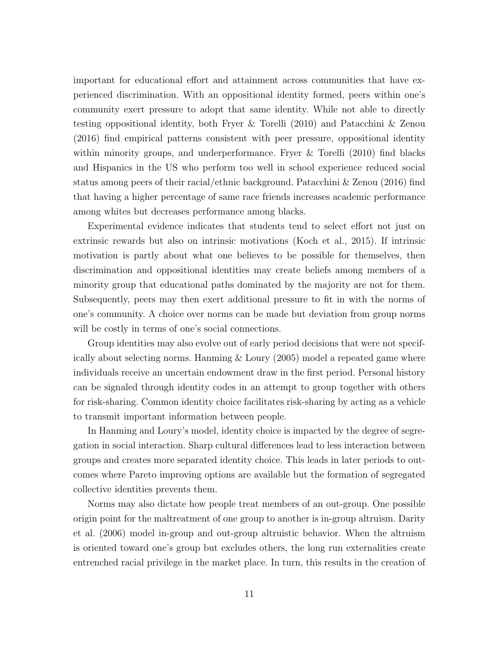important for educational effort and attainment across communities that have experienced discrimination. With an oppositional identity formed, peers within one's community exert pressure to adopt that same identity. While not able to directly testing oppositional identity, both [Fryer & Torelli](#page-30-3) [\(2010\)](#page-30-3) and [Patacchini & Zenou](#page-33-3) [\(2016\)](#page-33-3) find empirical patterns consistent with peer pressure, oppositional identity within minority groups, and underperformance. Fryer  $&$  Torelli [\(2010\)](#page-30-3) find blacks and Hispanics in the US who perform too well in school experience reduced social status among peers of their racial/ethnic background. [Patacchini & Zenou](#page-33-3) [\(2016\)](#page-33-3) find that having a higher percentage of same race friends increases academic performance among whites but decreases performance among blacks.

Experimental evidence indicates that students tend to select effort not just on extrinsic rewards but also on intrinsic motivations [\(Koch et al., 2015\)](#page-32-3). If intrinsic motivation is partly about what one believes to be possible for themselves, then discrimination and oppositional identities may create beliefs among members of a minority group that educational paths dominated by the majority are not for them. Subsequently, peers may then exert additional pressure to fit in with the norms of one's community. A choice over norms can be made but deviation from group norms will be costly in terms of one's social connections.

Group identities may also evolve out of early period decisions that were not specifically about selecting norms. [Hanming & Loury](#page-31-2) [\(2005\)](#page-31-2) model a repeated game where individuals receive an uncertain endowment draw in the first period. Personal history can be signaled through identity codes in an attempt to group together with others for risk-sharing. Common identity choice facilitates risk-sharing by acting as a vehicle to transmit important information between people.

In Hanming and Loury's model, identity choice is impacted by the degree of segregation in social interaction. Sharp cultural differences lead to less interaction between groups and creates more separated identity choice. This leads in later periods to outcomes where Pareto improving options are available but the formation of segregated collective identities prevents them.

Norms may also dictate how people treat members of an out-group. One possible origin point for the maltreatment of one group to another is in-group altruism. [Darity](#page-30-4) [et al.](#page-30-4) [\(2006\)](#page-30-4) model in-group and out-group altruistic behavior. When the altruism is oriented toward one's group but excludes others, the long run externalities create entrenched racial privilege in the market place. In turn, this results in the creation of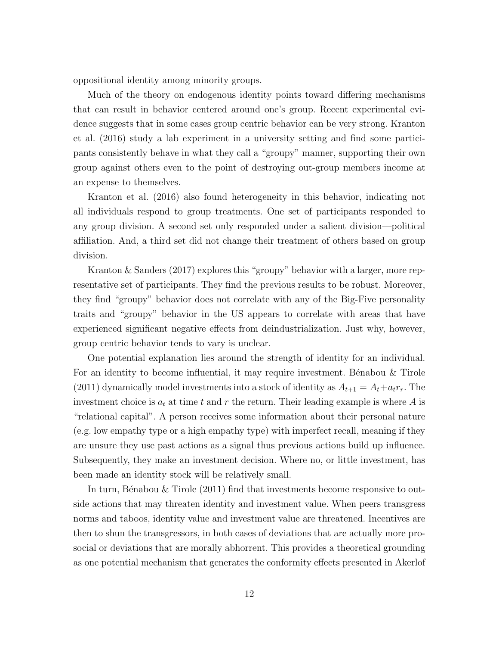oppositional identity among minority groups.

Much of the theory on endogenous identity points toward differing mechanisms that can result in behavior centered around one's group. Recent experimental evidence suggests that in some cases group centric behavior can be very strong. [Kranton](#page-32-4) [et al.](#page-32-4) [\(2016\)](#page-32-4) study a lab experiment in a university setting and find some participants consistently behave in what they call a "groupy" manner, supporting their own group against others even to the point of destroying out-group members income at an expense to themselves.

[Kranton et al.](#page-32-4) [\(2016\)](#page-32-4) also found heterogeneity in this behavior, indicating not all individuals respond to group treatments. One set of participants responded to any group division. A second set only responded under a salient division—political affiliation. And, a third set did not change their treatment of others based on group division.

[Kranton & Sanders](#page-32-5) [\(2017\)](#page-32-5) explores this "groupy" behavior with a larger, more representative set of participants. They find the previous results to be robust. Moreover, they find "groupy" behavior does not correlate with any of the Big-Five personality traits and "groupy" behavior in the US appears to correlate with areas that have experienced significant negative effects from deindustrialization. Just why, however, group centric behavior tends to vary is unclear.

One potential explanation lies around the strength of identity for an individual. For an identity to become influential, it may require investment. Bénabou  $&\Delta$  Tirole [\(2011\)](#page-28-4) dynamically model investments into a stock of identity as  $A_{t+1} = A_t + a_t r_r$ . The investment choice is  $a_t$  at time t and r the return. Their leading example is where A is "relational capital". A person receives some information about their personal nature (e.g. low empathy type or a high empathy type) with imperfect recall, meaning if they are unsure they use past actions as a signal thus previous actions build up influence. Subsequently, they make an investment decision. Where no, or little investment, has been made an identity stock will be relatively small.

In turn, Bénabou  $&\&$  Tirole [\(2011\)](#page-28-4) find that investments become responsive to outside actions that may threaten identity and investment value. When peers transgress norms and taboos, identity value and investment value are threatened. Incentives are then to shun the transgressors, in both cases of deviations that are actually more prosocial or deviations that are morally abhorrent. This provides a theoretical grounding as one potential mechanism that generates the conformity effects presented in [Akerlof](#page-28-0)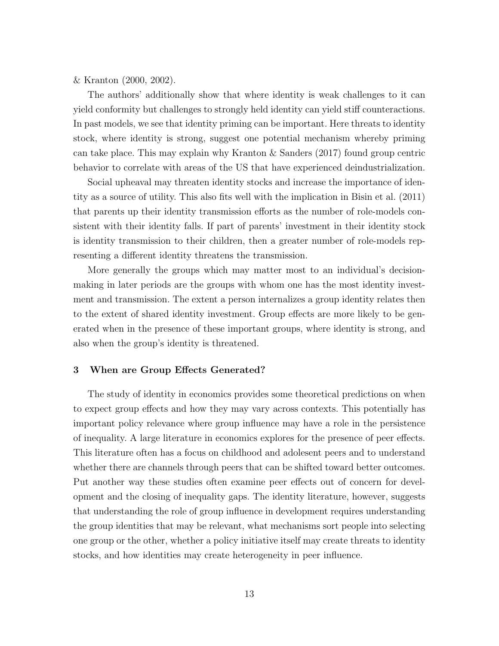[& Kranton](#page-28-0) [\(2000,](#page-28-0) [2002\)](#page-28-1).

The authors' additionally show that where identity is weak challenges to it can yield conformity but challenges to strongly held identity can yield stiff counteractions. In past models, we see that identity priming can be important. Here threats to identity stock, where identity is strong, suggest one potential mechanism whereby priming can take place. This may explain why [Kranton & Sanders](#page-32-5) [\(2017\)](#page-32-5) found group centric behavior to correlate with areas of the US that have experienced deindustrialization.

Social upheaval may threaten identity stocks and increase the importance of identity as a source of utility. This also fits well with the implication in [Bisin et al.](#page-29-1) [\(2011\)](#page-29-1) that parents up their identity transmission efforts as the number of role-models consistent with their identity falls. If part of parents' investment in their identity stock is identity transmission to their children, then a greater number of role-models representing a different identity threatens the transmission.

More generally the groups which may matter most to an individual's decisionmaking in later periods are the groups with whom one has the most identity investment and transmission. The extent a person internalizes a group identity relates then to the extent of shared identity investment. Group effects are more likely to be generated when in the presence of these important groups, where identity is strong, and also when the group's identity is threatened.

### <span id="page-12-0"></span>3 When are Group Effects Generated?

The study of identity in economics provides some theoretical predictions on when to expect group effects and how they may vary across contexts. This potentially has important policy relevance where group influence may have a role in the persistence of inequality. A large literature in economics explores for the presence of peer effects. This literature often has a focus on childhood and adolesent peers and to understand whether there are channels through peers that can be shifted toward better outcomes. Put another way these studies often examine peer effects out of concern for development and the closing of inequality gaps. The identity literature, however, suggests that understanding the role of group influence in development requires understanding the group identities that may be relevant, what mechanisms sort people into selecting one group or the other, whether a policy initiative itself may create threats to identity stocks, and how identities may create heterogeneity in peer influence.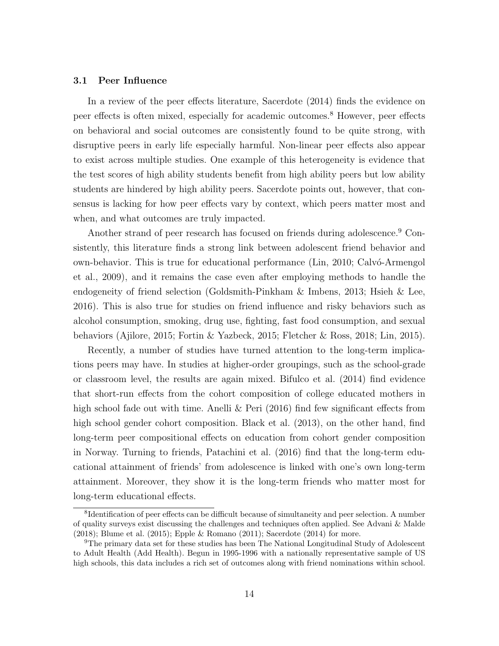## 3.1 Peer Influence

In a review of the peer effects literature, [Sacerdote](#page-33-1) [\(2014\)](#page-33-1) finds the evidence on peer effects is often mixed, especially for academic outcomes.[8](#page-13-0) However, peer effects on behavioral and social outcomes are consistently found to be quite strong, with disruptive peers in early life especially harmful. Non-linear peer effects also appear to exist across multiple studies. One example of this heterogeneity is evidence that the test scores of high ability students benefit from high ability peers but low ability students are hindered by high ability peers. Sacerdote points out, however, that consensus is lacking for how peer effects vary by context, which peers matter most and when, and what outcomes are truly impacted.

Another strand of peer research has focused on friends during adolescence.<sup>[9](#page-13-1)</sup> Consistently, this literature finds a strong link between adolescent friend behavior and own-behavior. This is true for educational performance [\(Lin, 2010;](#page-32-6) [Calv´o-Armengol](#page-29-2) [et al., 2009\)](#page-29-2), and it remains the case even after employing methods to handle the endogeneity of friend selection [\(Goldsmith-Pinkham & Imbens, 2013;](#page-31-3) [Hsieh & Lee,](#page-32-7) [2016\)](#page-32-7). This is also true for studies on friend influence and risky behaviors such as alcohol consumption, smoking, drug use, fighting, fast food consumption, and sexual behaviors [\(Ajilore, 2015;](#page-28-5) [Fortin & Yazbeck, 2015;](#page-30-5) [Fletcher & Ross, 2018;](#page-30-6) [Lin, 2015\)](#page-33-4).

Recently, a number of studies have turned attention to the long-term implications peers may have. In studies at higher-order groupings, such as the school-grade or classroom level, the results are again mixed. [Bifulco et al.](#page-29-3) [\(2014\)](#page-29-3) find evidence that short-run effects from the cohort composition of college educated mothers in high school fade out with time. [Anelli & Peri](#page-28-6) [\(2016\)](#page-28-6) find few significant effects from high school gender cohort composition. [Black et al.](#page-29-4) [\(2013\)](#page-29-4), on the other hand, find long-term peer compositional effects on education from cohort gender composition in Norway. Turning to friends, [Patachini et al.](#page-33-5) [\(2016\)](#page-33-5) find that the long-term educational attainment of friends' from adolescence is linked with one's own long-term attainment. Moreover, they show it is the long-term friends who matter most for long-term educational effects.

<span id="page-13-0"></span><sup>&</sup>lt;sup>8</sup>Identification of peer effects can be difficult because of simultaneity and peer selection. A number of quality surveys exist discussing the challenges and techniques often applied. See [Advani & Malde](#page-28-7) [\(2018\)](#page-28-7); [Blume et al.](#page-29-5) [\(2015\)](#page-29-5); [Epple & Romano](#page-30-7) [\(2011\)](#page-30-7); [Sacerdote](#page-33-1) [\(2014\)](#page-33-1) for more.

<span id="page-13-1"></span><sup>9</sup>The primary data set for these studies has been The National Longitudinal Study of Adolescent to Adult Health (Add Health). Begun in 1995-1996 with a nationally representative sample of US high schools, this data includes a rich set of outcomes along with friend nominations within school.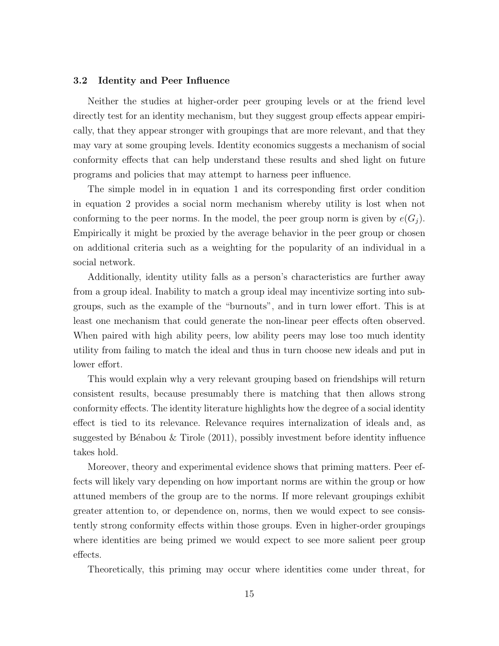#### 3.2 Identity and Peer Influence

Neither the studies at higher-order peer grouping levels or at the friend level directly test for an identity mechanism, but they suggest group effects appear empirically, that they appear stronger with groupings that are more relevant, and that they may vary at some grouping levels. Identity economics suggests a mechanism of social conformity effects that can help understand these results and shed light on future programs and policies that may attempt to harness peer influence.

The simple model in in equation [1](#page-4-2) and its corresponding first order condition in equation [2](#page-4-3) provides a social norm mechanism whereby utility is lost when not conforming to the peer norms. In the model, the peer group norm is given by  $e(G_i)$ . Empirically it might be proxied by the average behavior in the peer group or chosen on additional criteria such as a weighting for the popularity of an individual in a social network.

Additionally, identity utility falls as a person's characteristics are further away from a group ideal. Inability to match a group ideal may incentivize sorting into subgroups, such as the example of the "burnouts", and in turn lower effort. This is at least one mechanism that could generate the non-linear peer effects often observed. When paired with high ability peers, low ability peers may lose too much identity utility from failing to match the ideal and thus in turn choose new ideals and put in lower effort.

This would explain why a very relevant grouping based on friendships will return consistent results, because presumably there is matching that then allows strong conformity effects. The identity literature highlights how the degree of a social identity effect is tied to its relevance. Relevance requires internalization of ideals and, as suggested by Bénabou  $\&$  Tirole [\(2011\)](#page-28-4), possibly investment before identity influence takes hold.

Moreover, theory and experimental evidence shows that priming matters. Peer effects will likely vary depending on how important norms are within the group or how attuned members of the group are to the norms. If more relevant groupings exhibit greater attention to, or dependence on, norms, then we would expect to see consistently strong conformity effects within those groups. Even in higher-order groupings where identities are being primed we would expect to see more salient peer group effects.

Theoretically, this priming may occur where identities come under threat, for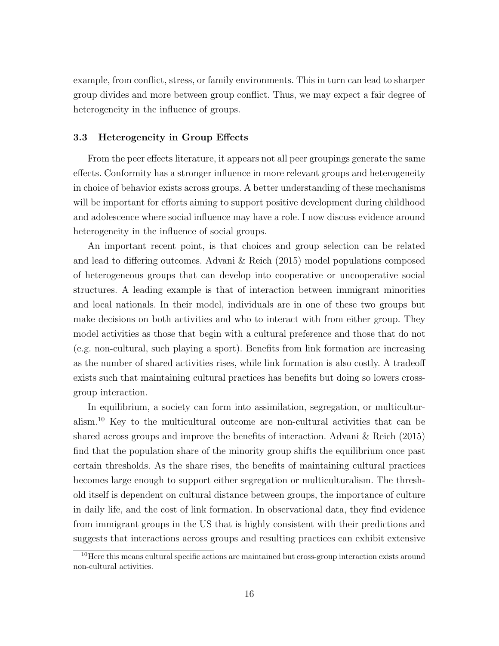example, from conflict, stress, or family environments. This in turn can lead to sharper group divides and more between group conflict. Thus, we may expect a fair degree of heterogeneity in the influence of groups.

### <span id="page-15-1"></span>3.3 Heterogeneity in Group Effects

From the peer effects literature, it appears not all peer groupings generate the same effects. Conformity has a stronger influence in more relevant groups and heterogeneity in choice of behavior exists across groups. A better understanding of these mechanisms will be important for efforts aiming to support positive development during childhood and adolescence where social influence may have a role. I now discuss evidence around heterogeneity in the influence of social groups.

An important recent point, is that choices and group selection can be related and lead to differing outcomes. [Advani & Reich](#page-28-8) [\(2015\)](#page-28-8) model populations composed of heterogeneous groups that can develop into cooperative or uncooperative social structures. A leading example is that of interaction between immigrant minorities and local nationals. In their model, individuals are in one of these two groups but make decisions on both activities and who to interact with from either group. They model activities as those that begin with a cultural preference and those that do not (e.g. non-cultural, such playing a sport). Benefits from link formation are increasing as the number of shared activities rises, while link formation is also costly. A tradeoff exists such that maintaining cultural practices has benefits but doing so lowers crossgroup interaction.

In equilibrium, a society can form into assimilation, segregation, or multiculturalism.[10](#page-15-0) Key to the multicultural outcome are non-cultural activities that can be shared across groups and improve the benefits of interaction. [Advani & Reich](#page-28-8) [\(2015\)](#page-28-8) find that the population share of the minority group shifts the equilibrium once past certain thresholds. As the share rises, the benefits of maintaining cultural practices becomes large enough to support either segregation or multiculturalism. The threshold itself is dependent on cultural distance between groups, the importance of culture in daily life, and the cost of link formation. In observational data, they find evidence from immigrant groups in the US that is highly consistent with their predictions and suggests that interactions across groups and resulting practices can exhibit extensive

<span id="page-15-0"></span><sup>&</sup>lt;sup>10</sup>Here this means cultural specific actions are maintained but cross-group interaction exists around non-cultural activities.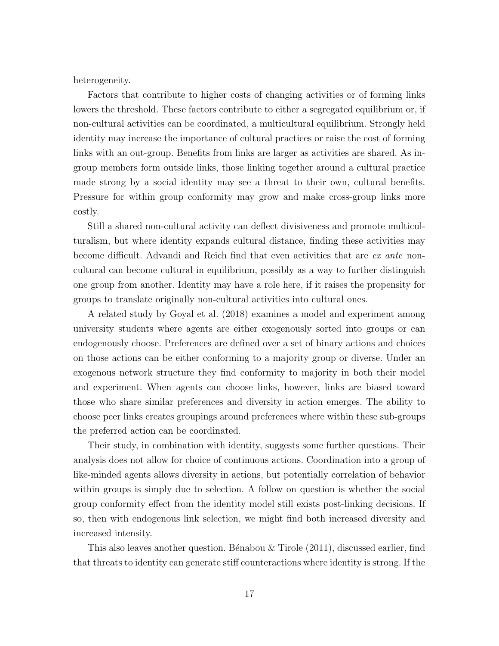heterogeneity.

Factors that contribute to higher costs of changing activities or of forming links lowers the threshold. These factors contribute to either a segregated equilibrium or, if non-cultural activities can be coordinated, a multicultural equilibrium. Strongly held identity may increase the importance of cultural practices or raise the cost of forming links with an out-group. Benefits from links are larger as activities are shared. As ingroup members form outside links, those linking together around a cultural practice made strong by a social identity may see a threat to their own, cultural benefits. Pressure for within group conformity may grow and make cross-group links more costly.

Still a shared non-cultural activity can deflect divisiveness and promote multiculturalism, but where identity expands cultural distance, finding these activities may become difficult. Advandi and Reich find that even activities that are ex ante noncultural can become cultural in equilibrium, possibly as a way to further distinguish one group from another. Identity may have a role here, if it raises the propensity for groups to translate originally non-cultural activities into cultural ones.

A related study by [Goyal et al.](#page-31-4) [\(2018\)](#page-31-4) examines a model and experiment among university students where agents are either exogenously sorted into groups or can endogenously choose. Preferences are defined over a set of binary actions and choices on those actions can be either conforming to a majority group or diverse. Under an exogenous network structure they find conformity to majority in both their model and experiment. When agents can choose links, however, links are biased toward those who share similar preferences and diversity in action emerges. The ability to choose peer links creates groupings around preferences where within these sub-groups the preferred action can be coordinated.

Their study, in combination with identity, suggests some further questions. Their analysis does not allow for choice of continuous actions. Coordination into a group of like-minded agents allows diversity in actions, but potentially correlation of behavior within groups is simply due to selection. A follow on question is whether the social group conformity effect from the identity model still exists post-linking decisions. If so, then with endogenous link selection, we might find both increased diversity and increased intensity.

This also leaves another question. Bénabou  $\&$  Tirole [\(2011\)](#page-28-4), discussed earlier, find that threats to identity can generate stiff counteractions where identity is strong. If the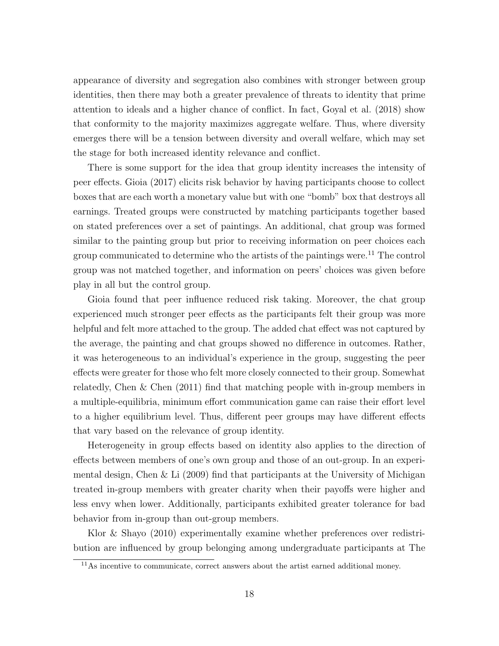appearance of diversity and segregation also combines with stronger between group identities, then there may both a greater prevalence of threats to identity that prime attention to ideals and a higher chance of conflict. In fact, [Goyal et al.](#page-31-4) [\(2018\)](#page-31-4) show that conformity to the majority maximizes aggregate welfare. Thus, where diversity emerges there will be a tension between diversity and overall welfare, which may set the stage for both increased identity relevance and conflict.

There is some support for the idea that group identity increases the intensity of peer effects. [Gioia](#page-30-8) [\(2017\)](#page-30-8) elicits risk behavior by having participants choose to collect boxes that are each worth a monetary value but with one "bomb" box that destroys all earnings. Treated groups were constructed by matching participants together based on stated preferences over a set of paintings. An additional, chat group was formed similar to the painting group but prior to receiving information on peer choices each group communicated to determine who the artists of the paintings were.[11](#page-17-0) The control group was not matched together, and information on peers' choices was given before play in all but the control group.

Gioia found that peer influence reduced risk taking. Moreover, the chat group experienced much stronger peer effects as the participants felt their group was more helpful and felt more attached to the group. The added chat effect was not captured by the average, the painting and chat groups showed no difference in outcomes. Rather, it was heterogeneous to an individual's experience in the group, suggesting the peer effects were greater for those who felt more closely connected to their group. Somewhat relatedly, [Chen & Chen](#page-29-6) [\(2011\)](#page-29-6) find that matching people with in-group members in a multiple-equilibria, minimum effort communication game can raise their effort level to a higher equilibrium level. Thus, different peer groups may have different effects that vary based on the relevance of group identity.

Heterogeneity in group effects based on identity also applies to the direction of effects between members of one's own group and those of an out-group. In an experimental design, [Chen & Li](#page-29-7) [\(2009\)](#page-29-7) find that participants at the University of Michigan treated in-group members with greater charity when their payoffs were higher and less envy when lower. Additionally, participants exhibited greater tolerance for bad behavior from in-group than out-group members.

[Klor & Shayo](#page-32-8) [\(2010\)](#page-32-8) experimentally examine whether preferences over redistribution are influenced by group belonging among undergraduate participants at The

<span id="page-17-0"></span><sup>&</sup>lt;sup>11</sup>As incentive to communicate, correct answers about the artist earned additional money.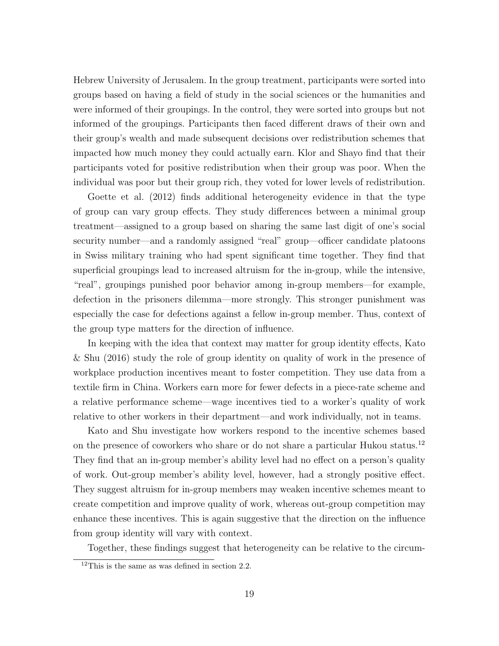Hebrew University of Jerusalem. In the group treatment, participants were sorted into groups based on having a field of study in the social sciences or the humanities and were informed of their groupings. In the control, they were sorted into groups but not informed of the groupings. Participants then faced different draws of their own and their group's wealth and made subsequent decisions over redistribution schemes that impacted how much money they could actually earn. Klor and Shayo find that their participants voted for positive redistribution when their group was poor. When the individual was poor but their group rich, they voted for lower levels of redistribution.

[Goette et al.](#page-31-5) [\(2012\)](#page-31-5) finds additional heterogeneity evidence in that the type of group can vary group effects. They study differences between a minimal group treatment—assigned to a group based on sharing the same last digit of one's social security number—and a randomly assigned "real" group—officer candidate platoons in Swiss military training who had spent significant time together. They find that superficial groupings lead to increased altruism for the in-group, while the intensive, "real", groupings punished poor behavior among in-group members—for example, defection in the prisoners dilemma—more strongly. This stronger punishment was especially the case for defections against a fellow in-group member. Thus, context of the group type matters for the direction of influence.

In keeping with the idea that context may matter for group identity effects, [Kato](#page-32-9) [& Shu](#page-32-9) [\(2016\)](#page-32-9) study the role of group identity on quality of work in the presence of workplace production incentives meant to foster competition. They use data from a textile firm in China. Workers earn more for fewer defects in a piece-rate scheme and a relative performance scheme—wage incentives tied to a worker's quality of work relative to other workers in their department—and work individually, not in teams.

Kato and Shu investigate how workers respond to the incentive schemes based on the presence of coworkers who share or do not share a particular Hukou status.<sup>[12](#page-18-0)</sup> They find that an in-group member's ability level had no effect on a person's quality of work. Out-group member's ability level, however, had a strongly positive effect. They suggest altruism for in-group members may weaken incentive schemes meant to create competition and improve quality of work, whereas out-group competition may enhance these incentives. This is again suggestive that the direction on the influence from group identity will vary with context.

Together, these findings suggest that heterogeneity can be relative to the circum-

<span id="page-18-0"></span> $12$ This is the same as was defined in section [2.2.](#page-5-1)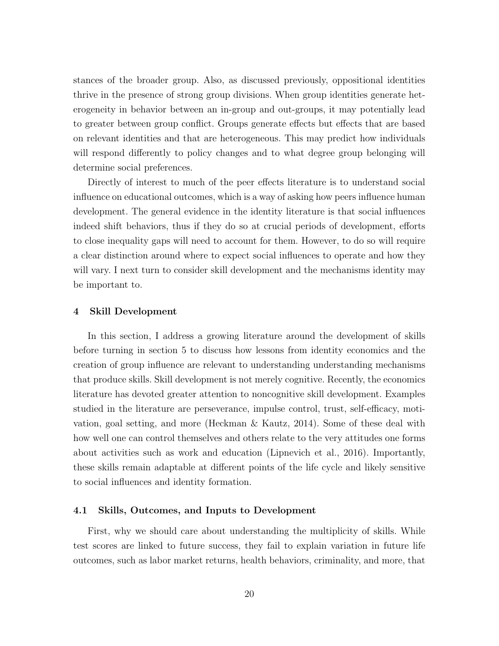stances of the broader group. Also, as discussed previously, oppositional identities thrive in the presence of strong group divisions. When group identities generate heterogeneity in behavior between an in-group and out-groups, it may potentially lead to greater between group conflict. Groups generate effects but effects that are based on relevant identities and that are heterogeneous. This may predict how individuals will respond differently to policy changes and to what degree group belonging will determine social preferences.

Directly of interest to much of the peer effects literature is to understand social influence on educational outcomes, which is a way of asking how peers influence human development. The general evidence in the identity literature is that social influences indeed shift behaviors, thus if they do so at crucial periods of development, efforts to close inequality gaps will need to account for them. However, to do so will require a clear distinction around where to expect social influences to operate and how they will vary. I next turn to consider skill development and the mechanisms identity may be important to.

#### 4 Skill Development

In this section, I address a growing literature around the development of skills before turning in section [5](#page-22-0) to discuss how lessons from identity economics and the creation of group influence are relevant to understanding understanding mechanisms that produce skills. Skill development is not merely cognitive. Recently, the economics literature has devoted greater attention to noncognitive skill development. Examples studied in the literature are perseverance, impulse control, trust, self-efficacy, motivation, goal setting, and more [\(Heckman & Kautz, 2014\)](#page-31-6). Some of these deal with how well one can control themselves and others relate to the very attitudes one forms about activities such as work and education [\(Lipnevich et al., 2016\)](#page-33-6). Importantly, these skills remain adaptable at different points of the life cycle and likely sensitive to social influences and identity formation.

#### 4.1 Skills, Outcomes, and Inputs to Development

First, why we should care about understanding the multiplicity of skills. While test scores are linked to future success, they fail to explain variation in future life outcomes, such as labor market returns, health behaviors, criminality, and more, that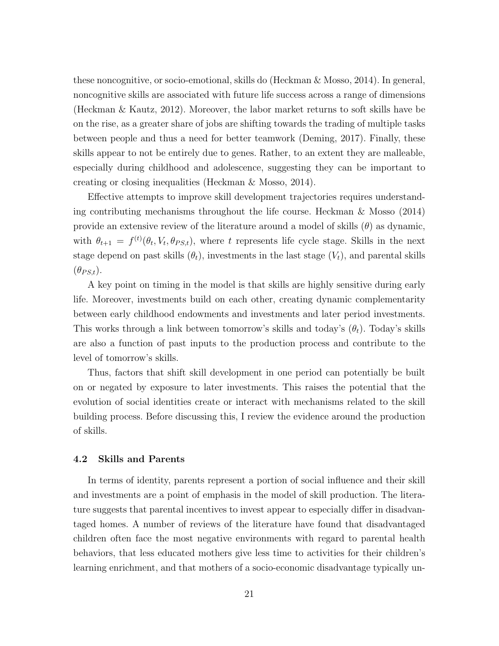these noncognitive, or socio-emotional, skills do [\(Heckman & Mosso, 2014\)](#page-31-7). In general, noncognitive skills are associated with future life success across a range of dimensions [\(Heckman & Kautz, 2012\)](#page-31-8). Moreover, the labor market returns to soft skills have be on the rise, as a greater share of jobs are shifting towards the trading of multiple tasks between people and thus a need for better teamwork [\(Deming, 2017\)](#page-30-9). Finally, these skills appear to not be entirely due to genes. Rather, to an extent they are malleable, especially during childhood and adolescence, suggesting they can be important to creating or closing inequalities [\(Heckman & Mosso, 2014\)](#page-31-7).

Effective attempts to improve skill development trajectories requires understanding contributing mechanisms throughout the life course. [Heckman & Mosso](#page-31-7) [\(2014\)](#page-31-7) provide an extensive review of the literature around a model of skills  $(\theta)$  as dynamic, with  $\theta_{t+1} = f^{(t)}(\theta_t, V_t, \theta_{PS,t}),$  where t represents life cycle stage. Skills in the next stage depend on past skills  $(\theta_t)$ , investments in the last stage  $(V_t)$ , and parental skills  $(\theta_{PS,t}).$ 

A key point on timing in the model is that skills are highly sensitive during early life. Moreover, investments build on each other, creating dynamic complementarity between early childhood endowments and investments and later period investments. This works through a link between tomorrow's skills and today's  $(\theta_t)$ . Today's skills are also a function of past inputs to the production process and contribute to the level of tomorrow's skills.

Thus, factors that shift skill development in one period can potentially be built on or negated by exposure to later investments. This raises the potential that the evolution of social identities create or interact with mechanisms related to the skill building process. Before discussing this, I review the evidence around the production of skills.

#### 4.2 Skills and Parents

In terms of identity, parents represent a portion of social influence and their skill and investments are a point of emphasis in the model of skill production. The literature suggests that parental incentives to invest appear to especially differ in disadvantaged homes. A number of reviews of the literature have found that disadvantaged children often face the most negative environments with regard to parental health behaviors, that less educated mothers give less time to activities for their children's learning enrichment, and that mothers of a socio-economic disadvantage typically un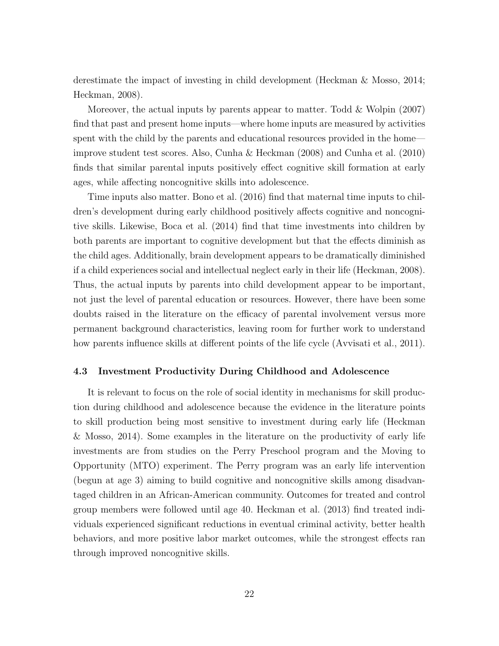derestimate the impact of investing in child development [\(Heckman & Mosso, 2014;](#page-31-7) [Heckman, 2008\)](#page-31-9).

Moreover, the actual inputs by parents appear to matter. [Todd & Wolpin](#page-33-7) [\(2007\)](#page-33-7) find that past and present home inputs—where home inputs are measured by activities spent with the child by the parents and educational resources provided in the home improve student test scores. Also, [Cunha & Heckman](#page-30-10) [\(2008\)](#page-30-10) and [Cunha et al.](#page-30-11) [\(2010\)](#page-30-11) finds that similar parental inputs positively effect cognitive skill formation at early ages, while affecting noncognitive skills into adolescence.

Time inputs also matter. [Bono et al.](#page-29-8) [\(2016\)](#page-29-8) find that maternal time inputs to children's development during early childhood positively affects cognitive and noncognitive skills. Likewise, [Boca et al.](#page-29-9) [\(2014\)](#page-29-9) find that time investments into children by both parents are important to cognitive development but that the effects diminish as the child ages. Additionally, brain development appears to be dramatically diminished if a child experiences social and intellectual neglect early in their life [\(Heckman, 2008\)](#page-31-9). Thus, the actual inputs by parents into child development appear to be important, not just the level of parental education or resources. However, there have been some doubts raised in the literature on the efficacy of parental involvement versus more permanent background characteristics, leaving room for further work to understand how parents influence skills at different points of the life cycle [\(Avvisati et al., 2011\)](#page-28-9).

### 4.3 Investment Productivity During Childhood and Adolescence

It is relevant to focus on the role of social identity in mechanisms for skill production during childhood and adolescence because the evidence in the literature points to skill production being most sensitive to investment during early life [\(Heckman](#page-31-7) [& Mosso, 2014\)](#page-31-7). Some examples in the literature on the productivity of early life investments are from studies on the Perry Preschool program and the Moving to Opportunity (MTO) experiment. The Perry program was an early life intervention (begun at age 3) aiming to build cognitive and noncognitive skills among disadvantaged children in an African-American community. Outcomes for treated and control group members were followed until age 40. [Heckman et al.](#page-31-10) [\(2013\)](#page-31-10) find treated individuals experienced significant reductions in eventual criminal activity, better health behaviors, and more positive labor market outcomes, while the strongest effects ran through improved noncognitive skills.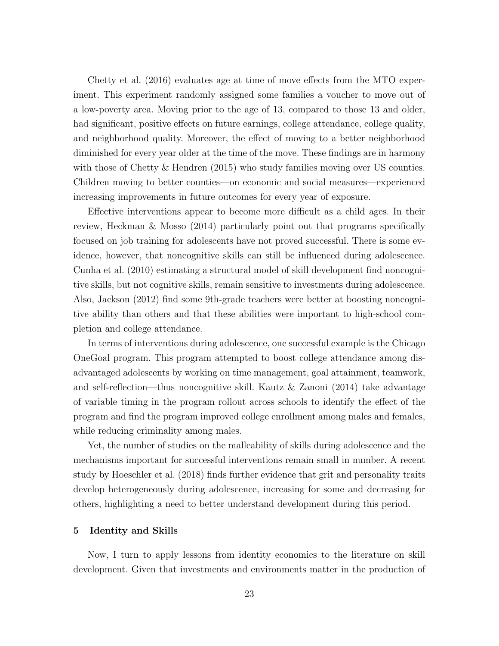[Chetty et al.](#page-29-10) [\(2016\)](#page-29-10) evaluates age at time of move effects from the MTO experiment. This experiment randomly assigned some families a voucher to move out of a low-poverty area. Moving prior to the age of 13, compared to those 13 and older, had significant, positive effects on future earnings, college attendance, college quality, and neighborhood quality. Moreover, the effect of moving to a better neighborhood diminished for every year older at the time of the move. These findings are in harmony with those of [Chetty & Hendren](#page-29-11) [\(2015\)](#page-29-11) who study families moving over US counties. Children moving to better counties—on economic and social measures—experienced increasing improvements in future outcomes for every year of exposure.

Effective interventions appear to become more difficult as a child ages. In their review, [Heckman & Mosso](#page-31-7) [\(2014\)](#page-31-7) particularly point out that programs specifically focused on job training for adolescents have not proved successful. There is some evidence, however, that noncognitive skills can still be influenced during adolescence. [Cunha et al.](#page-30-11) [\(2010\)](#page-30-11) estimating a structural model of skill development find noncognitive skills, but not cognitive skills, remain sensitive to investments during adolescence. Also, [Jackson](#page-32-10) [\(2012\)](#page-32-10) find some 9th-grade teachers were better at boosting noncognitive ability than others and that these abilities were important to high-school completion and college attendance.

In terms of interventions during adolescence, one successful example is the Chicago OneGoal program. This program attempted to boost college attendance among disadvantaged adolescents by working on time management, goal attainment, teamwork, and self-reflection—thus noncognitive skill. [Kautz & Zanoni](#page-32-11) [\(2014\)](#page-32-11) take advantage of variable timing in the program rollout across schools to identify the effect of the program and find the program improved college enrollment among males and females, while reducing criminality among males.

Yet, the number of studies on the malleability of skills during adolescence and the mechanisms important for successful interventions remain small in number. A recent study by [Hoeschler et al.](#page-31-11) [\(2018\)](#page-31-11) finds further evidence that grit and personality traits develop heterogeneously during adolescence, increasing for some and decreasing for others, highlighting a need to better understand development during this period.

#### <span id="page-22-0"></span>5 Identity and Skills

Now, I turn to apply lessons from identity economics to the literature on skill development. Given that investments and environments matter in the production of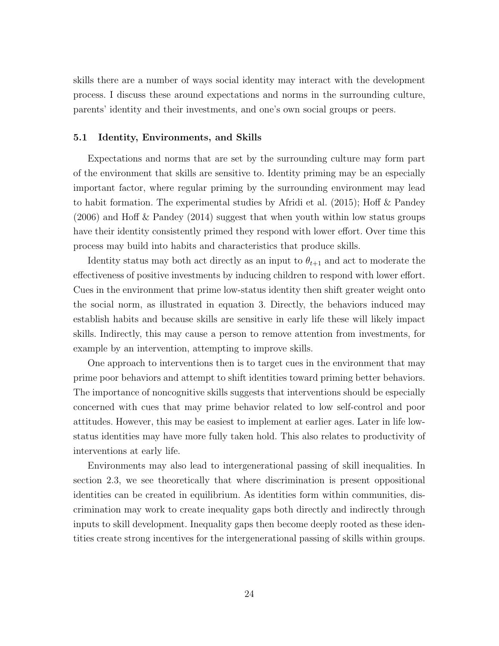skills there are a number of ways social identity may interact with the development process. I discuss these around expectations and norms in the surrounding culture, parents' identity and their investments, and one's own social groups or peers.

#### 5.1 Identity, Environments, and Skills

Expectations and norms that are set by the surrounding culture may form part of the environment that skills are sensitive to. Identity priming may be an especially important factor, where regular priming by the surrounding environment may lead to habit formation. The experimental studies by [Afridi et al.](#page-28-2) [\(2015\)](#page-28-2); [Hoff & Pandey](#page-31-1) [\(2006\)](#page-31-1) and [Hoff & Pandey](#page-32-1) [\(2014\)](#page-32-1) suggest that when youth within low status groups have their identity consistently primed they respond with lower effort. Over time this process may build into habits and characteristics that produce skills.

Identity status may both act directly as an input to  $\theta_{t+1}$  and act to moderate the effectiveness of positive investments by inducing children to respond with lower effort. Cues in the environment that prime low-status identity then shift greater weight onto the social norm, as illustrated in equation [3.](#page-4-1) Directly, the behaviors induced may establish habits and because skills are sensitive in early life these will likely impact skills. Indirectly, this may cause a person to remove attention from investments, for example by an intervention, attempting to improve skills.

One approach to interventions then is to target cues in the environment that may prime poor behaviors and attempt to shift identities toward priming better behaviors. The importance of noncognitive skills suggests that interventions should be especially concerned with cues that may prime behavior related to low self-control and poor attitudes. However, this may be easiest to implement at earlier ages. Later in life lowstatus identities may have more fully taken hold. This also relates to productivity of interventions at early life.

Environments may also lead to intergenerational passing of skill inequalities. In section [2.3,](#page-9-0) we see theoretically that where discrimination is present oppositional identities can be created in equilibrium. As identities form within communities, discrimination may work to create inequality gaps both directly and indirectly through inputs to skill development. Inequality gaps then become deeply rooted as these identities create strong incentives for the intergenerational passing of skills within groups.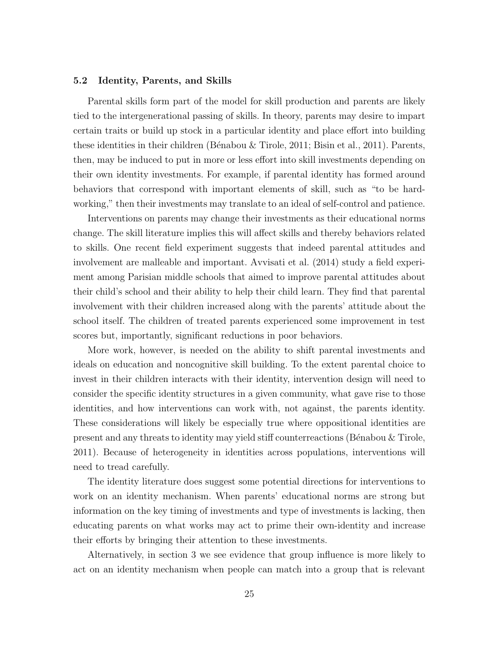### 5.2 Identity, Parents, and Skills

Parental skills form part of the model for skill production and parents are likely tied to the intergenerational passing of skills. In theory, parents may desire to impart certain traits or build up stock in a particular identity and place effort into building these identities in their children (Bénabou & Tirole, 2011; [Bisin et al., 2011\)](#page-29-1). Parents, then, may be induced to put in more or less effort into skill investments depending on their own identity investments. For example, if parental identity has formed around behaviors that correspond with important elements of skill, such as "to be hardworking," then their investments may translate to an ideal of self-control and patience.

Interventions on parents may change their investments as their educational norms change. The skill literature implies this will affect skills and thereby behaviors related to skills. One recent field experiment suggests that indeed parental attitudes and involvement are malleable and important. [Avvisati et al.](#page-28-10) [\(2014\)](#page-28-10) study a field experiment among Parisian middle schools that aimed to improve parental attitudes about their child's school and their ability to help their child learn. They find that parental involvement with their children increased along with the parents' attitude about the school itself. The children of treated parents experienced some improvement in test scores but, importantly, significant reductions in poor behaviors.

More work, however, is needed on the ability to shift parental investments and ideals on education and noncognitive skill building. To the extent parental choice to invest in their children interacts with their identity, intervention design will need to consider the specific identity structures in a given community, what gave rise to those identities, and how interventions can work with, not against, the parents identity. These considerations will likely be especially true where oppositional identities are present and any threats to identity may yield stiff counterreactions (Bénabou & Tirole, [2011\)](#page-28-4). Because of heterogeneity in identities across populations, interventions will need to tread carefully.

The identity literature does suggest some potential directions for interventions to work on an identity mechanism. When parents' educational norms are strong but information on the key timing of investments and type of investments is lacking, then educating parents on what works may act to prime their own-identity and increase their efforts by bringing their attention to these investments.

Alternatively, in section [3](#page-12-0) we see evidence that group influence is more likely to act on an identity mechanism when people can match into a group that is relevant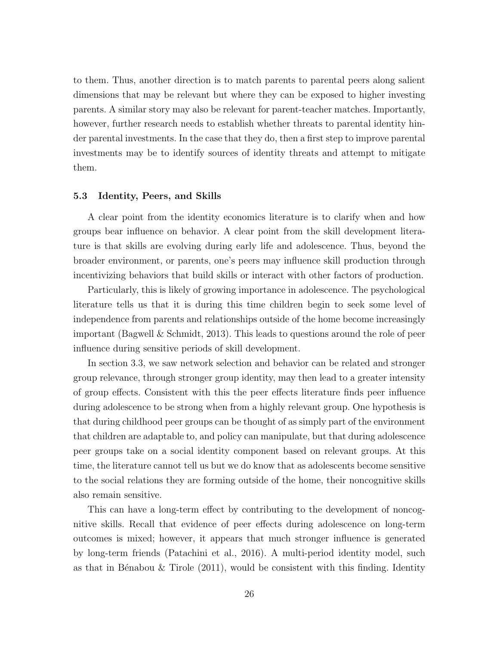to them. Thus, another direction is to match parents to parental peers along salient dimensions that may be relevant but where they can be exposed to higher investing parents. A similar story may also be relevant for parent-teacher matches. Importantly, however, further research needs to establish whether threats to parental identity hinder parental investments. In the case that they do, then a first step to improve parental investments may be to identify sources of identity threats and attempt to mitigate them.

#### 5.3 Identity, Peers, and Skills

A clear point from the identity economics literature is to clarify when and how groups bear influence on behavior. A clear point from the skill development literature is that skills are evolving during early life and adolescence. Thus, beyond the broader environment, or parents, one's peers may influence skill production through incentivizing behaviors that build skills or interact with other factors of production.

Particularly, this is likely of growing importance in adolescence. The psychological literature tells us that it is during this time children begin to seek some level of independence from parents and relationships outside of the home become increasingly important [\(Bagwell & Schmidt, 2013\)](#page-28-11). This leads to questions around the role of peer influence during sensitive periods of skill development.

In section [3.3,](#page-15-1) we saw network selection and behavior can be related and stronger group relevance, through stronger group identity, may then lead to a greater intensity of group effects. Consistent with this the peer effects literature finds peer influence during adolescence to be strong when from a highly relevant group. One hypothesis is that during childhood peer groups can be thought of as simply part of the environment that children are adaptable to, and policy can manipulate, but that during adolescence peer groups take on a social identity component based on relevant groups. At this time, the literature cannot tell us but we do know that as adolescents become sensitive to the social relations they are forming outside of the home, their noncognitive skills also remain sensitive.

This can have a long-term effect by contributing to the development of noncognitive skills. Recall that evidence of peer effects during adolescence on long-term outcomes is mixed; however, it appears that much stronger influence is generated by long-term friends [\(Patachini et al., 2016\)](#page-33-5). A multi-period identity model, such as that in Bénabou & Tirole  $(2011)$ , would be consistent with this finding. Identity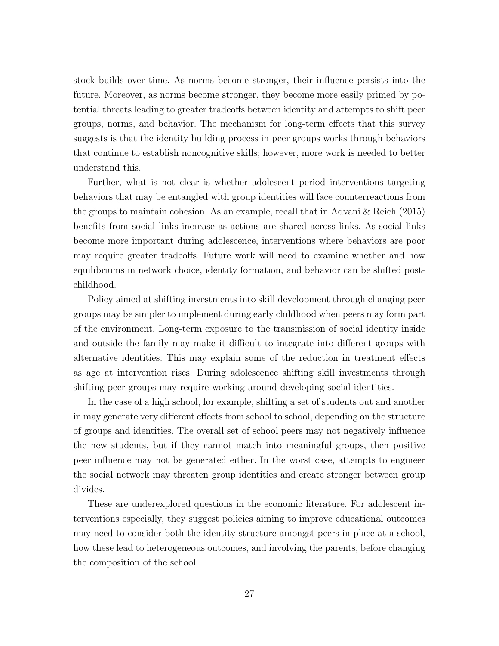stock builds over time. As norms become stronger, their influence persists into the future. Moreover, as norms become stronger, they become more easily primed by potential threats leading to greater tradeoffs between identity and attempts to shift peer groups, norms, and behavior. The mechanism for long-term effects that this survey suggests is that the identity building process in peer groups works through behaviors that continue to establish noncognitive skills; however, more work is needed to better understand this.

Further, what is not clear is whether adolescent period interventions targeting behaviors that may be entangled with group identities will face counterreactions from the groups to maintain cohesion. As an example, recall that in [Advani & Reich](#page-28-8) [\(2015\)](#page-28-8) benefits from social links increase as actions are shared across links. As social links become more important during adolescence, interventions where behaviors are poor may require greater tradeoffs. Future work will need to examine whether and how equilibriums in network choice, identity formation, and behavior can be shifted postchildhood.

Policy aimed at shifting investments into skill development through changing peer groups may be simpler to implement during early childhood when peers may form part of the environment. Long-term exposure to the transmission of social identity inside and outside the family may make it difficult to integrate into different groups with alternative identities. This may explain some of the reduction in treatment effects as age at intervention rises. During adolescence shifting skill investments through shifting peer groups may require working around developing social identities.

In the case of a high school, for example, shifting a set of students out and another in may generate very different effects from school to school, depending on the structure of groups and identities. The overall set of school peers may not negatively influence the new students, but if they cannot match into meaningful groups, then positive peer influence may not be generated either. In the worst case, attempts to engineer the social network may threaten group identities and create stronger between group divides.

These are underexplored questions in the economic literature. For adolescent interventions especially, they suggest policies aiming to improve educational outcomes may need to consider both the identity structure amongst peers in-place at a school, how these lead to heterogeneous outcomes, and involving the parents, before changing the composition of the school.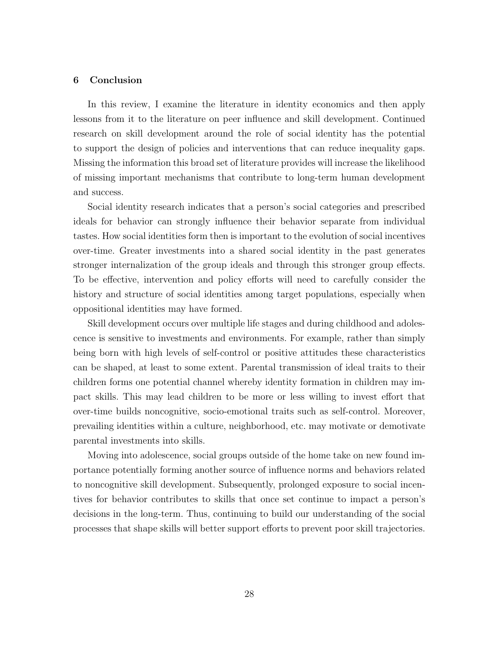### 6 Conclusion

In this review, I examine the literature in identity economics and then apply lessons from it to the literature on peer influence and skill development. Continued research on skill development around the role of social identity has the potential to support the design of policies and interventions that can reduce inequality gaps. Missing the information this broad set of literature provides will increase the likelihood of missing important mechanisms that contribute to long-term human development and success.

Social identity research indicates that a person's social categories and prescribed ideals for behavior can strongly influence their behavior separate from individual tastes. How social identities form then is important to the evolution of social incentives over-time. Greater investments into a shared social identity in the past generates stronger internalization of the group ideals and through this stronger group effects. To be effective, intervention and policy efforts will need to carefully consider the history and structure of social identities among target populations, especially when oppositional identities may have formed.

Skill development occurs over multiple life stages and during childhood and adolescence is sensitive to investments and environments. For example, rather than simply being born with high levels of self-control or positive attitudes these characteristics can be shaped, at least to some extent. Parental transmission of ideal traits to their children forms one potential channel whereby identity formation in children may impact skills. This may lead children to be more or less willing to invest effort that over-time builds noncognitive, socio-emotional traits such as self-control. Moreover, prevailing identities within a culture, neighborhood, etc. may motivate or demotivate parental investments into skills.

Moving into adolescence, social groups outside of the home take on new found importance potentially forming another source of influence norms and behaviors related to noncognitive skill development. Subsequently, prolonged exposure to social incentives for behavior contributes to skills that once set continue to impact a person's decisions in the long-term. Thus, continuing to build our understanding of the social processes that shape skills will better support efforts to prevent poor skill trajectories.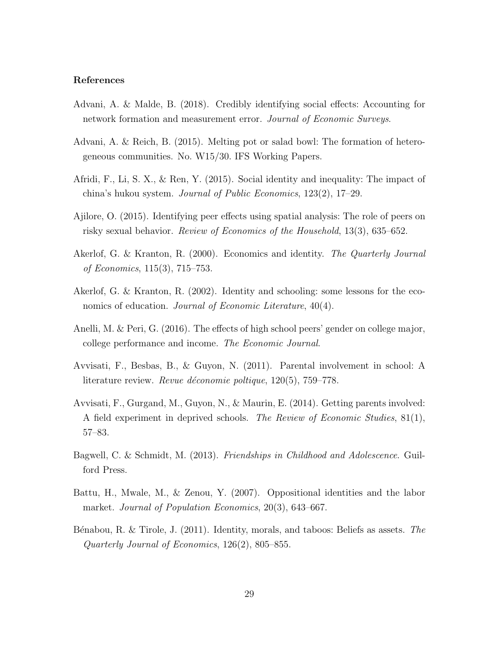# References

- <span id="page-28-7"></span>Advani, A. & Malde, B. (2018). Credibly identifying social effects: Accounting for network formation and measurement error. Journal of Economic Surveys.
- <span id="page-28-8"></span>Advani, A. & Reich, B. (2015). Melting pot or salad bowl: The formation of heterogeneous communities. No. W15/30. IFS Working Papers.
- <span id="page-28-2"></span>Afridi, F., Li, S. X., & Ren, Y. (2015). Social identity and inequality: The impact of china's hukou system. Journal of Public Economics, 123(2), 17–29.
- <span id="page-28-5"></span>Ajilore, O. (2015). Identifying peer effects using spatial analysis: The role of peers on risky sexual behavior. Review of Economics of the Household, 13(3), 635–652.
- <span id="page-28-0"></span>Akerlof, G. & Kranton, R. (2000). Economics and identity. The Quarterly Journal of Economics, 115(3), 715–753.
- <span id="page-28-1"></span>Akerlof, G. & Kranton, R. (2002). Identity and schooling: some lessons for the economics of education. *Journal of Economic Literature*,  $40(4)$ .
- <span id="page-28-6"></span>Anelli, M. & Peri, G. (2016). The effects of high school peers' gender on college major, college performance and income. The Economic Journal.
- <span id="page-28-9"></span>Avvisati, F., Besbas, B., & Guyon, N. (2011). Parental involvement in school: A literature review. Revue déconomie poltique,  $120(5)$ ,  $759-778$ .
- <span id="page-28-10"></span>Avvisati, F., Gurgand, M., Guyon, N., & Maurin, E. (2014). Getting parents involved: A field experiment in deprived schools. The Review of Economic Studies, 81(1), 57–83.
- <span id="page-28-11"></span>Bagwell, C. & Schmidt, M. (2013). Friendships in Childhood and Adolescence. Guilford Press.
- <span id="page-28-3"></span>Battu, H., Mwale, M., & Zenou, Y. (2007). Oppositional identities and the labor market. Journal of Population Economics, 20(3), 643–667.
- <span id="page-28-4"></span>Bénabou, R. & Tirole, J. (2011). Identity, morals, and taboos: Beliefs as assets. The Quarterly Journal of Economics, 126(2), 805–855.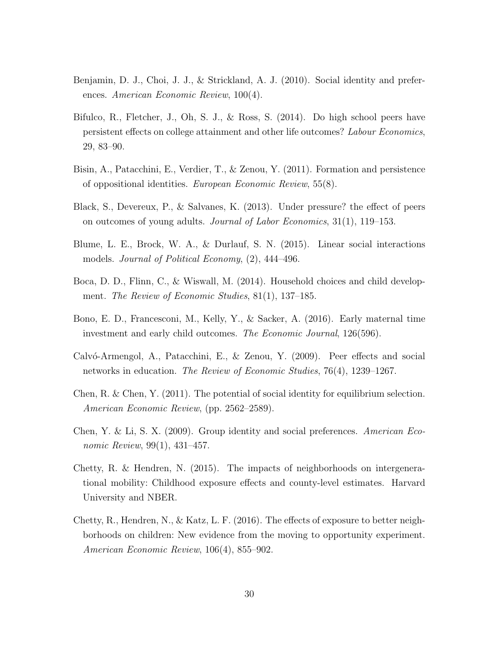- <span id="page-29-0"></span>Benjamin, D. J., Choi, J. J., & Strickland, A. J. (2010). Social identity and preferences. American Economic Review, 100(4).
- <span id="page-29-3"></span>Bifulco, R., Fletcher, J., Oh, S. J., & Ross, S. (2014). Do high school peers have persistent effects on college attainment and other life outcomes? Labour Economics, 29, 83–90.
- <span id="page-29-1"></span>Bisin, A., Patacchini, E., Verdier, T., & Zenou, Y. (2011). Formation and persistence of oppositional identities. European Economic Review, 55(8).
- <span id="page-29-4"></span>Black, S., Devereux, P., & Salvanes, K. (2013). Under pressure? the effect of peers on outcomes of young adults. Journal of Labor Economics, 31(1), 119–153.
- <span id="page-29-5"></span>Blume, L. E., Brock, W. A., & Durlauf, S. N. (2015). Linear social interactions models. Journal of Political Economy, (2), 444–496.
- <span id="page-29-9"></span>Boca, D. D., Flinn, C., & Wiswall, M. (2014). Household choices and child development. The Review of Economic Studies, 81(1), 137–185.
- <span id="page-29-8"></span>Bono, E. D., Francesconi, M., Kelly, Y., & Sacker, A. (2016). Early maternal time investment and early child outcomes. The Economic Journal, 126(596).
- <span id="page-29-2"></span>Calvó-Armengol, A., Patacchini, E., & Zenou, Y. (2009). Peer effects and social networks in education. The Review of Economic Studies, 76(4), 1239–1267.
- <span id="page-29-6"></span>Chen, R. & Chen, Y. (2011). The potential of social identity for equilibrium selection. American Economic Review, (pp. 2562–2589).
- <span id="page-29-7"></span>Chen, Y. & Li, S. X. (2009). Group identity and social preferences. American Economic Review, 99(1), 431–457.
- <span id="page-29-11"></span>Chetty, R. & Hendren, N. (2015). The impacts of neighborhoods on intergenerational mobility: Childhood exposure effects and county-level estimates. Harvard University and NBER.
- <span id="page-29-10"></span>Chetty, R., Hendren, N., & Katz, L. F. (2016). The effects of exposure to better neighborhoods on children: New evidence from the moving to opportunity experiment. American Economic Review, 106(4), 855–902.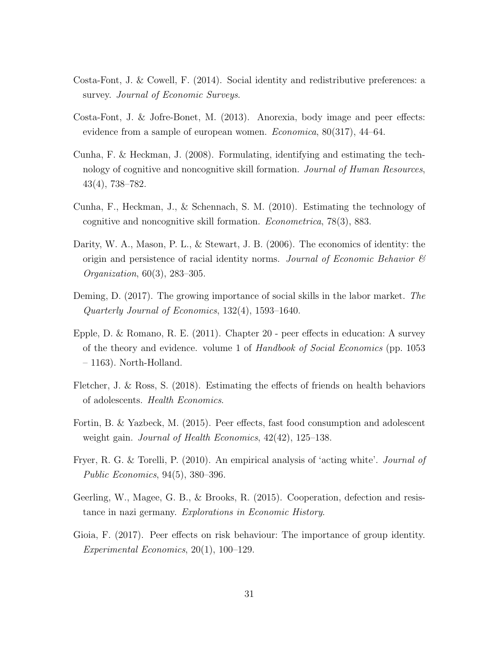- <span id="page-30-0"></span>Costa-Font, J. & Cowell, F. (2014). Social identity and redistributive preferences: a survey. Journal of Economic Surveys.
- <span id="page-30-2"></span>Costa-Font, J. & Jofre-Bonet, M. (2013). Anorexia, body image and peer effects: evidence from a sample of european women. *Economica*, 80(317), 44–64.
- <span id="page-30-10"></span>Cunha, F. & Heckman, J. (2008). Formulating, identifying and estimating the technology of cognitive and noncognitive skill formation. Journal of Human Resources, 43(4), 738–782.
- <span id="page-30-11"></span>Cunha, F., Heckman, J., & Schennach, S. M. (2010). Estimating the technology of cognitive and noncognitive skill formation. Econometrica, 78(3), 883.
- <span id="page-30-4"></span>Darity, W. A., Mason, P. L., & Stewart, J. B. (2006). The economics of identity: the origin and persistence of racial identity norms. Journal of Economic Behavior  $\mathcal B$ Organization, 60(3), 283–305.
- <span id="page-30-9"></span>Deming, D. (2017). The growing importance of social skills in the labor market. The Quarterly Journal of Economics, 132(4), 1593–1640.
- <span id="page-30-7"></span>Epple, D. & Romano, R. E. (2011). Chapter 20 - peer effects in education: A survey of the theory and evidence. volume 1 of Handbook of Social Economics (pp. 1053 – 1163). North-Holland.
- <span id="page-30-6"></span>Fletcher, J. & Ross, S. (2018). Estimating the effects of friends on health behaviors of adolescents. Health Economics.
- <span id="page-30-5"></span>Fortin, B. & Yazbeck, M. (2015). Peer effects, fast food consumption and adolescent weight gain. *Journal of Health Economics*,  $42(42)$ ,  $125-138$ .
- <span id="page-30-3"></span>Fryer, R. G. & Torelli, P. (2010). An empirical analysis of 'acting white'. Journal of Public Economics, 94(5), 380–396.
- <span id="page-30-1"></span>Geerling, W., Magee, G. B., & Brooks, R. (2015). Cooperation, defection and resistance in nazi germany. Explorations in Economic History.
- <span id="page-30-8"></span>Gioia, F. (2017). Peer effects on risk behaviour: The importance of group identity. Experimental Economics, 20(1), 100–129.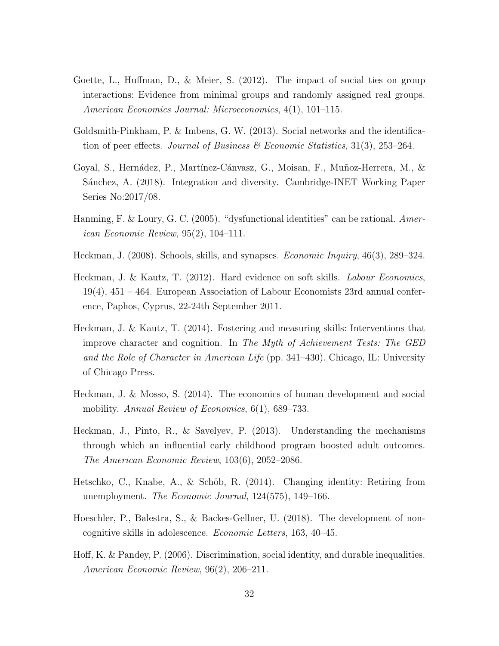- <span id="page-31-5"></span>Goette, L., Huffman, D., & Meier, S. (2012). The impact of social ties on group interactions: Evidence from minimal groups and randomly assigned real groups. American Economics Journal: Microeconomics, 4(1), 101–115.
- <span id="page-31-3"></span>Goldsmith-Pinkham, P. & Imbens, G. W. (2013). Social networks and the identification of peer effects. Journal of Business & Economic Statistics, 31(3), 253–264.
- <span id="page-31-4"></span>Goyal, S., Hernádez, P., Martínez-Cánvasz, G., Moisan, F., Muñoz-Herrera, M., & Sánchez, A. (2018). Integration and diversity. Cambridge-INET Working Paper Series No:2017/08.
- <span id="page-31-2"></span>Hanming, F. & Loury, G. C. (2005). "dysfunctional identities" can be rational. American Economic Review, 95(2), 104–111.
- <span id="page-31-9"></span>Heckman, J. (2008). Schools, skills, and synapses. *Economic Inquiry*, 46(3), 289–324.
- <span id="page-31-8"></span>Heckman, J. & Kautz, T. (2012). Hard evidence on soft skills. *Labour Economics*, 19(4), 451 – 464. European Association of Labour Economists 23rd annual conference, Paphos, Cyprus, 22-24th September 2011.
- <span id="page-31-6"></span>Heckman, J. & Kautz, T. (2014). Fostering and measuring skills: Interventions that improve character and cognition. In The Myth of Achievement Tests: The GED and the Role of Character in American Life (pp. 341–430). Chicago, IL: University of Chicago Press.
- <span id="page-31-7"></span>Heckman, J. & Mosso, S. (2014). The economics of human development and social mobility. Annual Review of Economics, 6(1), 689–733.
- <span id="page-31-10"></span>Heckman, J., Pinto, R., & Savelyev, P. (2013). Understanding the mechanisms through which an influential early childhood program boosted adult outcomes. The American Economic Review, 103(6), 2052–2086.
- <span id="page-31-0"></span>Hetschko, C., Knabe, A., & Schöb, R. (2014). Changing identity: Retiring from unemployment. The Economic Journal, 124(575), 149–166.
- <span id="page-31-11"></span>Hoeschler, P., Balestra, S., & Backes-Gellner, U. (2018). The development of noncognitive skills in adolescence. Economic Letters, 163, 40–45.
- <span id="page-31-1"></span>Hoff, K. & Pandey, P. (2006). Discrimination, social identity, and durable inequalities. American Economic Review, 96(2), 206–211.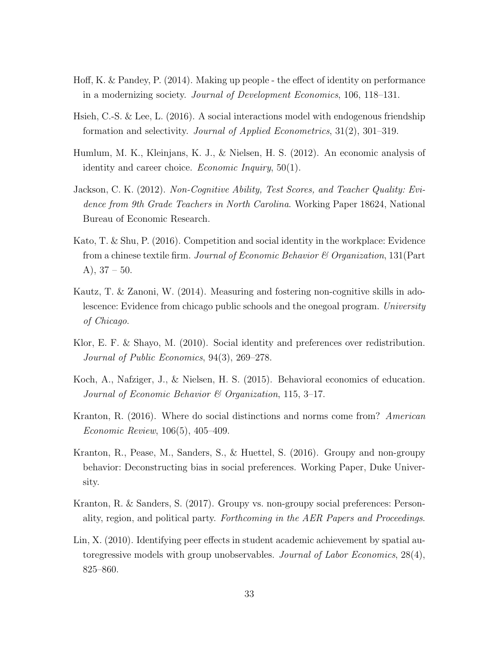- <span id="page-32-1"></span>Hoff, K. & Pandey, P. (2014). Making up people - the effect of identity on performance in a modernizing society. Journal of Development Economics, 106, 118–131.
- <span id="page-32-7"></span>Hsieh, C.-S. & Lee, L. (2016). A social interactions model with endogenous friendship formation and selectivity. Journal of Applied Econometrics, 31(2), 301–319.
- <span id="page-32-0"></span>Humlum, M. K., Kleinjans, K. J., & Nielsen, H. S. (2012). An economic analysis of identity and career choice. Economic Inquiry, 50(1).
- <span id="page-32-10"></span>Jackson, C. K. (2012). Non-Cognitive Ability, Test Scores, and Teacher Quality: Evidence from 9th Grade Teachers in North Carolina. Working Paper 18624, National Bureau of Economic Research.
- <span id="page-32-9"></span>Kato, T. & Shu, P. (2016). Competition and social identity in the workplace: Evidence from a chinese textile firm. Journal of Economic Behavior & Organization, 131(Part A),  $37 - 50$ .
- <span id="page-32-11"></span>Kautz, T. & Zanoni, W. (2014). Measuring and fostering non-cognitive skills in adolescence: Evidence from chicago public schools and the onegoal program. University of Chicago.
- <span id="page-32-8"></span>Klor, E. F. & Shayo, M. (2010). Social identity and preferences over redistribution. Journal of Public Economics, 94(3), 269–278.
- <span id="page-32-3"></span>Koch, A., Nafziger, J., & Nielsen, H. S. (2015). Behavioral economics of education. Journal of Economic Behavior & Organization, 115, 3–17.
- <span id="page-32-2"></span>Kranton, R. (2016). Where do social distinctions and norms come from? American Economic Review, 106(5), 405–409.
- <span id="page-32-4"></span>Kranton, R., Pease, M., Sanders, S., & Huettel, S. (2016). Groupy and non-groupy behavior: Deconstructing bias in social preferences. Working Paper, Duke University.
- <span id="page-32-5"></span>Kranton, R. & Sanders, S. (2017). Groupy vs. non-groupy social preferences: Personality, region, and political party. Forthcoming in the AER Papers and Proceedings.
- <span id="page-32-6"></span>Lin, X. (2010). Identifying peer effects in student academic achievement by spatial autoregressive models with group unobservables. Journal of Labor Economics, 28(4), 825–860.